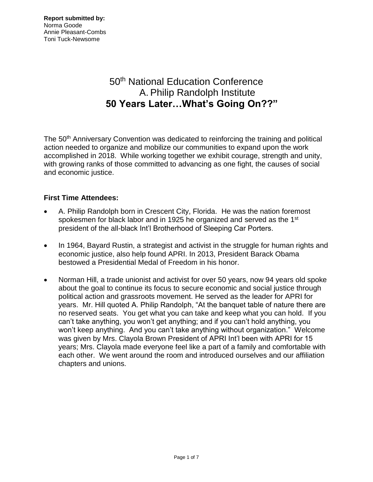# 50<sup>th</sup> National Education Conference A. Philip Randolph Institute **50 Years Later…What's Going On??"**

The 50<sup>th</sup> Anniversary Convention was dedicated to reinforcing the training and political action needed to organize and mobilize our communities to expand upon the work accomplished in 2018. While working together we exhibit courage, strength and unity, with growing ranks of those committed to advancing as one fight, the causes of social and economic justice.

# **First Time Attendees:**

- A. Philip Randolph born in Crescent City, Florida. He was the nation foremost spokesmen for black labor and in 1925 he organized and served as the 1<sup>st</sup> president of the all-black Int'l Brotherhood of Sleeping Car Porters.
- In 1964, Bayard Rustin, a strategist and activist in the struggle for human rights and economic justice, also help found APRI. In 2013, President Barack Obama bestowed a Presidential Medal of Freedom in his honor.
- Norman Hill, a trade unionist and activist for over 50 years, now 94 years old spoke about the goal to continue its focus to secure economic and social justice through political action and grassroots movement. He served as the leader for APRI for years. Mr. Hill quoted A. Philip Randolph, "At the banquet table of nature there are no reserved seats. You get what you can take and keep what you can hold. If you can't take anything, you won't get anything; and if you can't hold anything, you won't keep anything. And you can't take anything without organization." Welcome was given by Mrs. Clayola Brown President of APRI Int'l been with APRI for 15 years; Mrs. Clayola made everyone feel like a part of a family and comfortable with each other. We went around the room and introduced ourselves and our affiliation chapters and unions.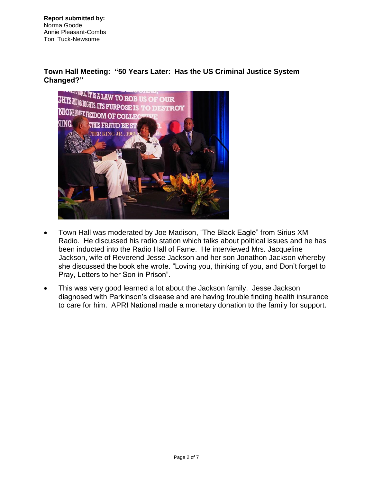## **Town Hall Meeting: "50 Years Later: Has the US Criminal Justice System Changed?"**



- Town Hall was moderated by Joe Madison, "The Black Eagle" from Sirius XM Radio. He discussed his radio station which talks about political issues and he has been inducted into the Radio Hall of Fame. He interviewed Mrs. Jacqueline Jackson, wife of Reverend Jesse Jackson and her son Jonathon Jackson whereby she discussed the book she wrote. "Loving you, thinking of you, and Don't forget to Pray, Letters to her Son in Prison".
- This was very good learned a lot about the Jackson family. Jesse Jackson diagnosed with Parkinson's disease and are having trouble finding health insurance to care for him. APRI National made a monetary donation to the family for support.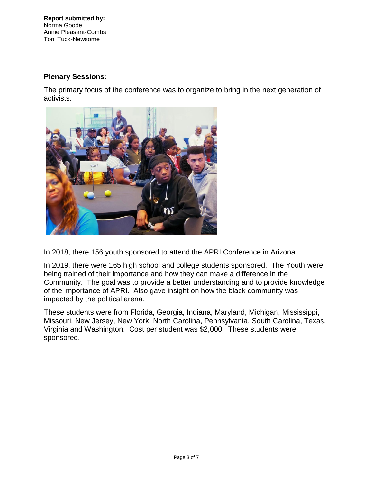## **Plenary Sessions:**

The primary focus of the conference was to organize to bring in the next generation of activists.



In 2018, there 156 youth sponsored to attend the APRI Conference in Arizona.

In 2019, there were 165 high school and college students sponsored. The Youth were being trained of their importance and how they can make a difference in the Community. The goal was to provide a better understanding and to provide knowledge of the importance of APRI. Also gave insight on how the black community was impacted by the political arena.

These students were from Florida, Georgia, Indiana, Maryland, Michigan, Mississippi, Missouri, New Jersey, New York, North Carolina, Pennsylvania, South Carolina, Texas, Virginia and Washington. Cost per student was \$2,000. These students were sponsored.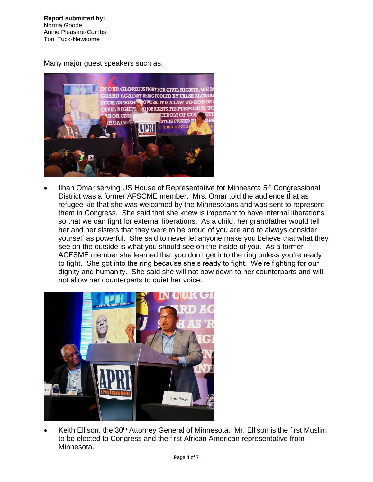Many major guest speakers such as:



Ilhan Omar serving US House of Representative for Minnesota 5<sup>th</sup> Congressional District was a former AFSCME member. Mrs. Omar told the audience that as refugee kid that she was welcomed by the Minnesotans and was sent to represent them in Congress. She said that she knew is important to have internal liberations so that we can fight for external liberations. As a child, her grandfather would tell her and her sisters that they were to be proud of you are and to always consider yourself as powerful. She said to never let anyone make you believe that what they see on the outside is what you should see on the inside of you. As a former ACFSME member she learned that you don't get into the ring unless you're ready to fight. She got into the ring because she's ready to fight. We're fighting for our dignity and humanity. She said she will not bow down to her counterparts and will not allow her counterparts to quiet her voice.



Keith Ellison, the 30<sup>th</sup> Attorney General of Minnesota. Mr. Ellison is the first Muslim to be elected to Congress and the first African American representative from Minnesota.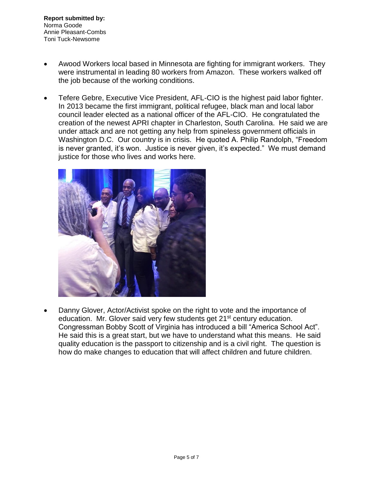- Awood Workers local based in Minnesota are fighting for immigrant workers. They were instrumental in leading 80 workers from Amazon. These workers walked off the job because of the working conditions.
- Tefere Gebre, Executive Vice President, AFL-CIO is the highest paid labor fighter. In 2013 became the first immigrant, political refugee, black man and local labor council leader elected as a national officer of the AFL-CIO. He congratulated the creation of the newest APRI chapter in Charleston, South Carolina. He said we are under attack and are not getting any help from spineless government officials in Washington D.C. Our country is in crisis. He quoted A. Philip Randolph, "Freedom is never granted, it's won. Justice is never given, it's expected." We must demand justice for those who lives and works here.



• Danny Glover, Actor/Activist spoke on the right to vote and the importance of education. Mr. Glover said very few students get 21<sup>st</sup> century education. Congressman Bobby Scott of Virginia has introduced a bill "America School Act". He said this is a great start, but we have to understand what this means. He said quality education is the passport to citizenship and is a civil right. The question is how do make changes to education that will affect children and future children.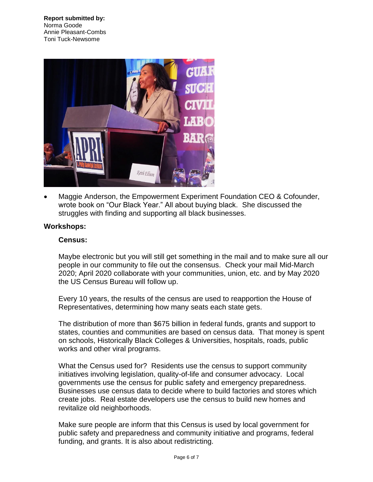

• Maggie Anderson, the Empowerment Experiment Foundation CEO & Cofounder, wrote book on "Our Black Year." All about buying black. She discussed the struggles with finding and supporting all black businesses.

#### **Workshops:**

#### **Census:**

Maybe electronic but you will still get something in the mail and to make sure all our people in our community to file out the consensus. Check your mail Mid-March 2020; April 2020 collaborate with your communities, union, etc. and by May 2020 the US Census Bureau will follow up.

Every 10 years, the results of the census are used to reapportion the House of Representatives, determining how many seats each state gets.

The distribution of more than \$675 billion in federal funds, grants and support to states, counties and communities are based on census data. That money is spent on schools, Historically Black Colleges & Universities, hospitals, roads, public works and other viral programs.

What the Census used for? Residents use the census to support community initiatives involving legislation, quality-of-life and consumer advocacy. Local governments use the census for public safety and emergency preparedness. Businesses use census data to decide where to build factories and stores which create jobs. Real estate developers use the census to build new homes and revitalize old neighborhoods.

Make sure people are inform that this Census is used by local government for public safety and preparedness and community initiative and programs, federal funding, and grants. It is also about redistricting.